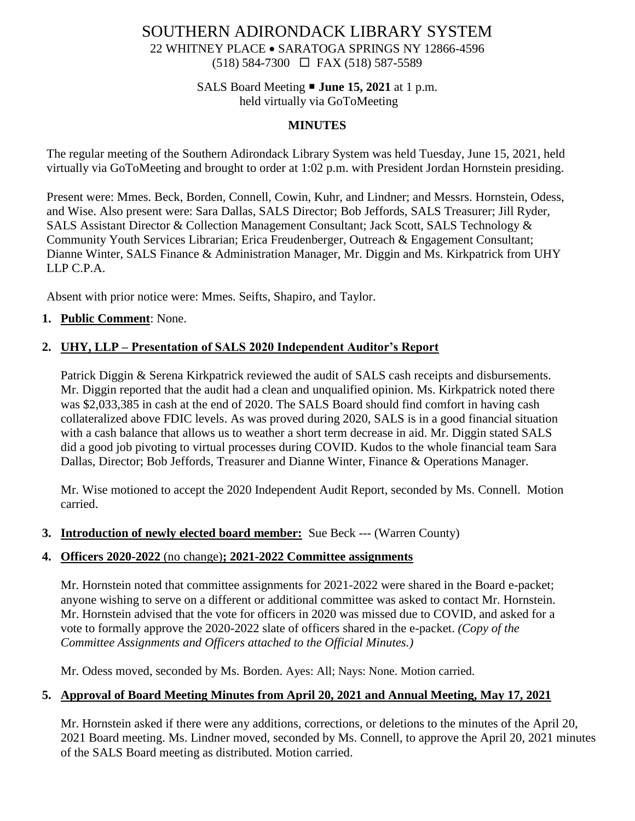# SOUTHERN ADIRONDACK LIBRARY SYSTEM

22 WHITNEY PLACE • SARATOGA SPRINGS NY 12866-4596 (518) 584-7300 FAX (518) 587-5589

# SALS Board Meeting **June 15, 2021** at 1 p.m.

held virtually via GoToMeeting

#### **MINUTES**

The regular meeting of the Southern Adirondack Library System was held Tuesday, June 15, 2021, held virtually via GoToMeeting and brought to order at 1:02 p.m. with President Jordan Hornstein presiding.

Present were: Mmes. Beck, Borden, Connell, Cowin, Kuhr, and Lindner; and Messrs. Hornstein, Odess, and Wise. Also present were: Sara Dallas, SALS Director; Bob Jeffords, SALS Treasurer; Jill Ryder, SALS Assistant Director & Collection Management Consultant; Jack Scott, SALS Technology & Community Youth Services Librarian; Erica Freudenberger, Outreach & Engagement Consultant; Dianne Winter, SALS Finance & Administration Manager, Mr. Diggin and Ms. Kirkpatrick from UHY LLP C.P.A.

Absent with prior notice were: Mmes. Seifts, Shapiro, and Taylor.

#### **1. Public Comment**: None.

#### **2. UHY, LLP – Presentation of SALS 2020 Independent Auditor's Report**

Patrick Diggin & Serena Kirkpatrick reviewed the audit of SALS cash receipts and disbursements. Mr. Diggin reported that the audit had a clean and unqualified opinion. Ms. Kirkpatrick noted there was \$2,033,385 in cash at the end of 2020. The SALS Board should find comfort in having cash collateralized above FDIC levels. As was proved during 2020, SALS is in a good financial situation with a cash balance that allows us to weather a short term decrease in aid. Mr. Diggin stated SALS did a good job pivoting to virtual processes during COVID. Kudos to the whole financial team Sara Dallas, Director; Bob Jeffords, Treasurer and Dianne Winter, Finance & Operations Manager.

Mr. Wise motioned to accept the 2020 Independent Audit Report, seconded by Ms. Connell. Motion carried.

**3. Introduction of newly elected board member:** Sue Beck --- (Warren County)

#### **4. Officers 2020-2022** (no change)**; 2021-2022 Committee assignments**

Mr. Hornstein noted that committee assignments for 2021-2022 were shared in the Board e-packet; anyone wishing to serve on a different or additional committee was asked to contact Mr. Hornstein. Mr. Hornstein advised that the vote for officers in 2020 was missed due to COVID, and asked for a vote to formally approve the 2020-2022 slate of officers shared in the e-packet. *(Copy of the Committee Assignments and Officers attached to the Official Minutes.)*

Mr. Odess moved, seconded by Ms. Borden. Ayes: All; Nays: None. Motion carried.

## **5. Approval of Board Meeting Minutes from April 20, 2021 and Annual Meeting, May 17, 2021**

Mr. Hornstein asked if there were any additions, corrections, or deletions to the minutes of the April 20, 2021 Board meeting. Ms. Lindner moved, seconded by Ms. Connell, to approve the April 20, 2021 minutes of the SALS Board meeting as distributed. Motion carried.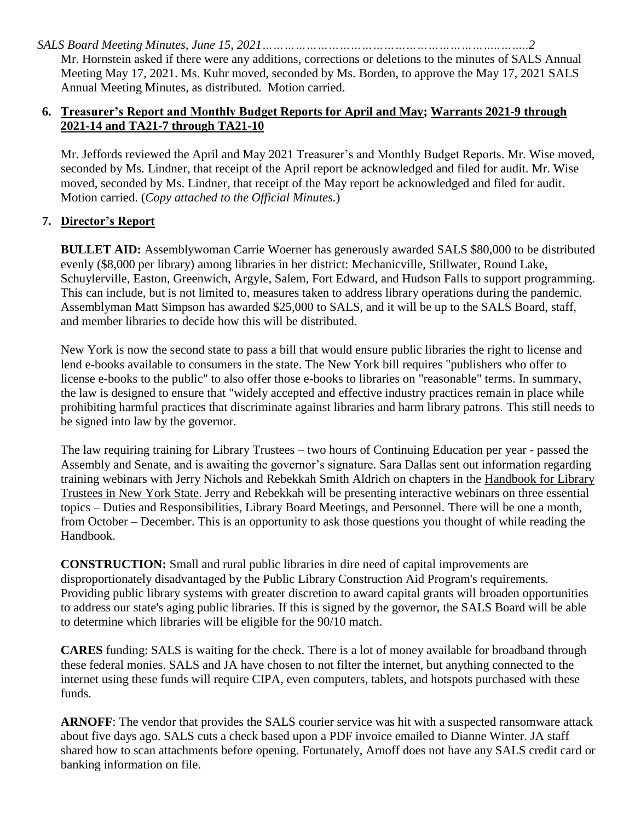Mr. Hornstein asked if there were any additions, corrections or deletions to the minutes of SALS Annual Meeting May 17, 2021. Ms. Kuhr moved, seconded by Ms. Borden, to approve the May 17, 2021 SALS Annual Meeting Minutes, as distributed. Motion carried.

#### **6. Treasurer's Report and Monthly Budget Reports for April and May; Warrants 2021-9 through 2021-14 and TA21-7 through TA21-10**

Mr. Jeffords reviewed the April and May 2021 Treasurer's and Monthly Budget Reports. Mr. Wise moved, seconded by Ms. Lindner, that receipt of the April report be acknowledged and filed for audit. Mr. Wise moved, seconded by Ms. Lindner, that receipt of the May report be acknowledged and filed for audit. Motion carried. (*Copy attached to the Official Minutes.*)

## **7. Director's Report**

**BULLET AID:** Assemblywoman Carrie Woerner has generously awarded SALS \$80,000 to be distributed evenly (\$8,000 per library) among libraries in her district: Mechanicville, Stillwater, Round Lake, Schuylerville, Easton, Greenwich, Argyle, Salem, Fort Edward, and Hudson Falls to support programming. This can include, but is not limited to, measures taken to address library operations during the pandemic. Assemblyman Matt Simpson has awarded \$25,000 to SALS, and it will be up to the SALS Board, staff, and member libraries to decide how this will be distributed.

New York is now the second state to pass a bill that would ensure public libraries the right to license and lend e-books available to consumers in the state. The New York bill requires "publishers who offer to license e-books to the public" to also offer those e-books to libraries on "reasonable" terms. In summary, the law is designed to ensure that "widely accepted and effective industry practices remain in place while prohibiting harmful practices that discriminate against libraries and harm library patrons. This still needs to be signed into law by the governor.

The law requiring training for Library Trustees – two hours of Continuing Education per year - passed the Assembly and Senate, and is awaiting the governor's signature. Sara Dallas sent out information regarding training webinars with Jerry Nichols and Rebekkah Smith Aldrich on chapters in the Handbook for Library Trustees in New York State. Jerry and Rebekkah will be presenting interactive webinars on three essential topics – Duties and Responsibilities, Library Board Meetings, and Personnel. There will be one a month, from October – December. This is an opportunity to ask those questions you thought of while reading the Handbook.

**CONSTRUCTION:** Small and rural public libraries in dire need of capital improvements are disproportionately disadvantaged by the Public Library Construction Aid Program's requirements. Providing public library systems with greater discretion to award capital grants will broaden opportunities to address our state's aging public libraries. If this is signed by the governor, the SALS Board will be able to determine which libraries will be eligible for the 90/10 match.

**CARES** funding: SALS is waiting for the check. There is a lot of money available for broadband through these federal monies. SALS and JA have chosen to not filter the internet, but anything connected to the internet using these funds will require CIPA, even computers, tablets, and hotspots purchased with these funds.

**ARNOFF**: The vendor that provides the SALS courier service was hit with a suspected ransomware attack about five days ago. SALS cuts a check based upon a PDF invoice emailed to Dianne Winter. JA staff shared how to scan attachments before opening. Fortunately, Arnoff does not have any SALS credit card or banking information on file.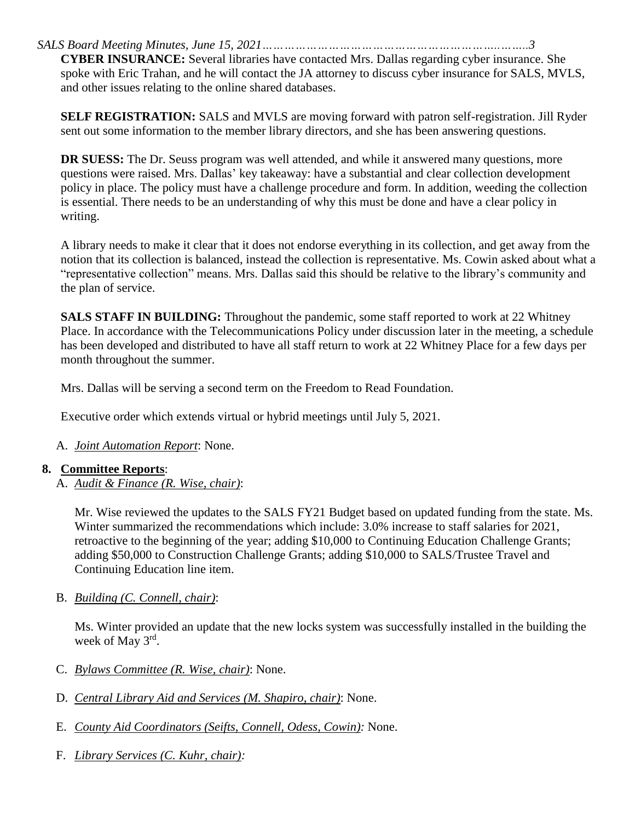**CYBER INSURANCE:** Several libraries have contacted Mrs. Dallas regarding cyber insurance. She spoke with Eric Trahan, and he will contact the JA attorney to discuss cyber insurance for SALS, MVLS, and other issues relating to the online shared databases.

**SELF REGISTRATION:** SALS and MVLS are moving forward with patron self-registration. Jill Ryder sent out some information to the member library directors, and she has been answering questions.

**DR SUESS:** The Dr. Seuss program was well attended, and while it answered many questions, more questions were raised. Mrs. Dallas' key takeaway: have a substantial and clear collection development policy in place. The policy must have a challenge procedure and form. In addition, weeding the collection is essential. There needs to be an understanding of why this must be done and have a clear policy in writing.

A library needs to make it clear that it does not endorse everything in its collection, and get away from the notion that its collection is balanced, instead the collection is representative. Ms. Cowin asked about what a "representative collection" means. Mrs. Dallas said this should be relative to the library's community and the plan of service.

**SALS STAFF IN BUILDING:** Throughout the pandemic, some staff reported to work at 22 Whitney Place. In accordance with the Telecommunications Policy under discussion later in the meeting, a schedule has been developed and distributed to have all staff return to work at 22 Whitney Place for a few days per month throughout the summer.

Mrs. Dallas will be serving a second term on the Freedom to Read Foundation.

Executive order which extends virtual or hybrid meetings until July 5, 2021.

A. *Joint Automation Report*: None.

#### **8. Committee Reports**:

A. *Audit & Finance (R. Wise, chair)*:

Mr. Wise reviewed the updates to the SALS FY21 Budget based on updated funding from the state. Ms. Winter summarized the recommendations which include: 3.0% increase to staff salaries for 2021, retroactive to the beginning of the year; adding \$10,000 to Continuing Education Challenge Grants; adding \$50,000 to Construction Challenge Grants; adding \$10,000 to SALS/Trustee Travel and Continuing Education line item.

B. *Building (C. Connell, chair)*:

Ms. Winter provided an update that the new locks system was successfully installed in the building the week of May 3<sup>rd</sup>.

- C. *Bylaws Committee (R. Wise, chair)*: None.
- D. *Central Library Aid and Services (M. Shapiro, chair)*: None.
- E. *County Aid Coordinators (Seifts, Connell, Odess, Cowin):* None.
- F. *Library Services (C. Kuhr, chair):*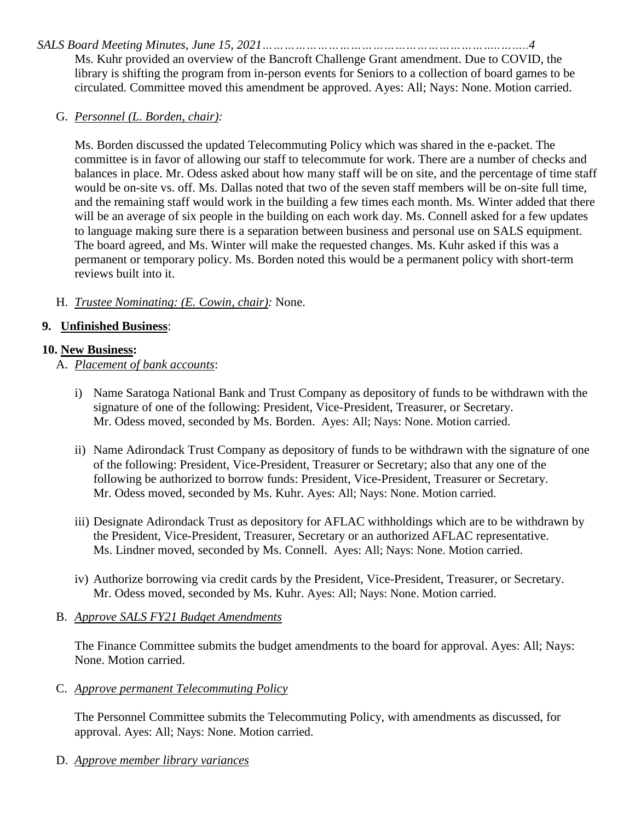Ms. Kuhr provided an overview of the Bancroft Challenge Grant amendment. Due to COVID, the library is shifting the program from in-person events for Seniors to a collection of board games to be circulated. Committee moved this amendment be approved. Ayes: All; Nays: None. Motion carried.

#### G. *Personnel (L. Borden, chair):*

Ms. Borden discussed the updated Telecommuting Policy which was shared in the e-packet. The committee is in favor of allowing our staff to telecommute for work. There are a number of checks and balances in place. Mr. Odess asked about how many staff will be on site, and the percentage of time staff would be on-site vs. off. Ms. Dallas noted that two of the seven staff members will be on-site full time, and the remaining staff would work in the building a few times each month. Ms. Winter added that there will be an average of six people in the building on each work day. Ms. Connell asked for a few updates to language making sure there is a separation between business and personal use on SALS equipment. The board agreed, and Ms. Winter will make the requested changes. Ms. Kuhr asked if this was a permanent or temporary policy. Ms. Borden noted this would be a permanent policy with short-term reviews built into it.

#### H. *Trustee Nominating: (E. Cowin, chair):* None.

#### **9. Unfinished Business**:

#### **10. New Business:**

- A. *Placement of bank accounts*:
	- i) Name Saratoga National Bank and Trust Company as depository of funds to be withdrawn with the signature of one of the following: President, Vice-President, Treasurer, or Secretary. Mr. Odess moved, seconded by Ms. Borden. Ayes: All; Nays: None. Motion carried.
	- ii) Name Adirondack Trust Company as depository of funds to be withdrawn with the signature of one of the following: President, Vice-President, Treasurer or Secretary; also that any one of the following be authorized to borrow funds: President, Vice-President, Treasurer or Secretary. Mr. Odess moved, seconded by Ms. Kuhr. Ayes: All; Nays: None. Motion carried.
	- iii) Designate Adirondack Trust as depository for AFLAC withholdings which are to be withdrawn by the President, Vice-President, Treasurer, Secretary or an authorized AFLAC representative. Ms. Lindner moved, seconded by Ms. Connell. Ayes: All; Nays: None. Motion carried.
	- iv) Authorize borrowing via credit cards by the President, Vice-President, Treasurer, or Secretary. Mr. Odess moved, seconded by Ms. Kuhr. Ayes: All; Nays: None. Motion carried.

#### B. *Approve SALS FY21 Budget Amendments*

The Finance Committee submits the budget amendments to the board for approval. Ayes: All; Nays: None. Motion carried.

C. *Approve permanent Telecommuting Policy*

The Personnel Committee submits the Telecommuting Policy, with amendments as discussed, for approval. Ayes: All; Nays: None. Motion carried.

D. *Approve member library variances*